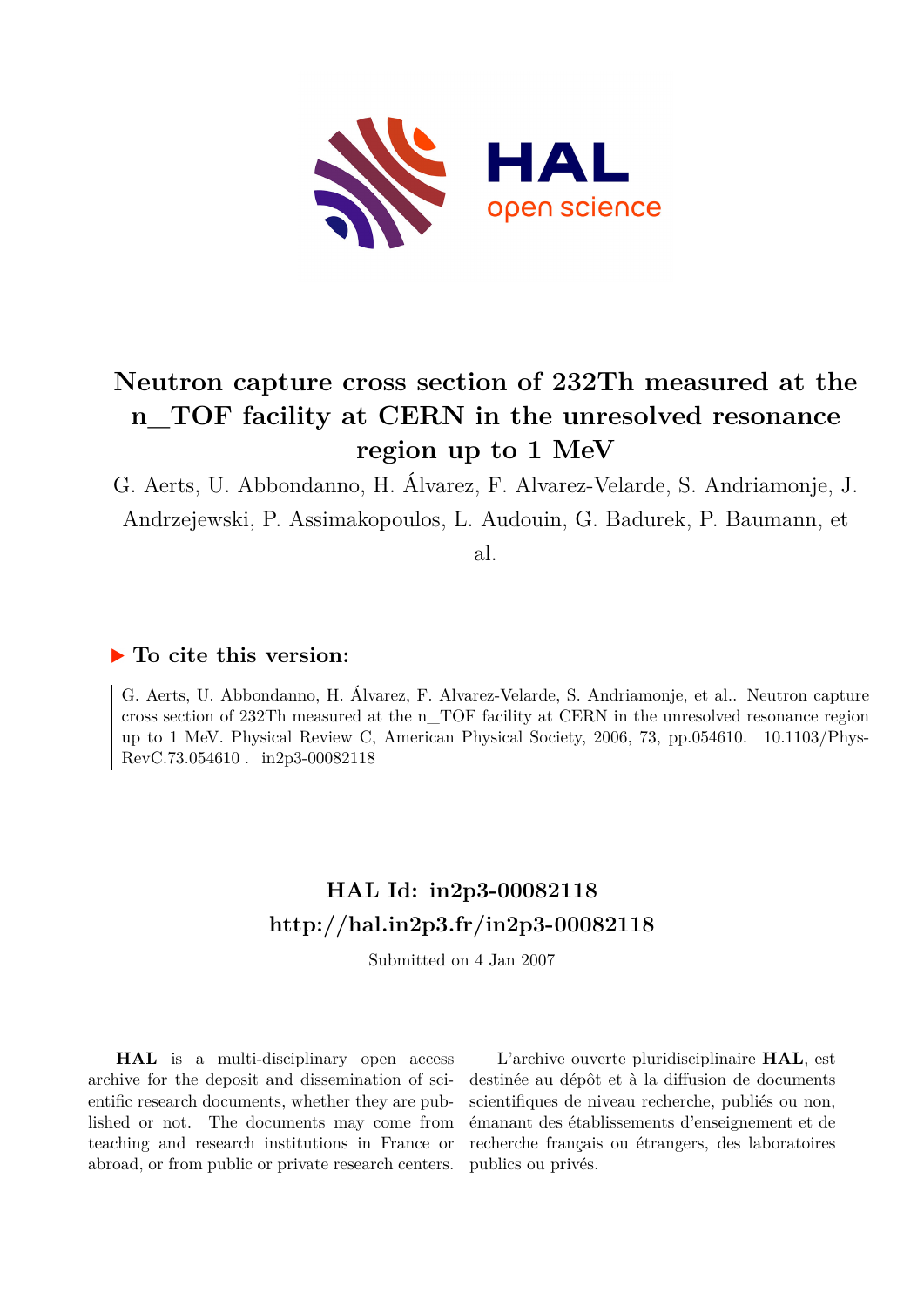

# **Neutron capture cross section of 232Th measured at the n\_TOF facility at CERN in the unresolved resonance region up to 1 MeV**

G. Aerts, U. Abbondanno, H. Álvarez, F. Alvarez-Velarde, S. Andriamonje, J. Andrzejewski, P. Assimakopoulos, L. Audouin, G. Badurek, P. Baumann, et

al.

### **To cite this version:**

G. Aerts, U. Abbondanno, H. Álvarez, F. Alvarez-Velarde, S. Andriamonje, et al.. Neutron capture cross section of 232Th measured at the n\_TOF facility at CERN in the unresolved resonance region up to 1 MeV. Physical Review C, American Physical Society, 2006, 73, pp.054610. 10.1103/Phys-RevC.73.054610. in2p3-00082118

## **HAL Id: in2p3-00082118 <http://hal.in2p3.fr/in2p3-00082118>**

Submitted on 4 Jan 2007

**HAL** is a multi-disciplinary open access archive for the deposit and dissemination of scientific research documents, whether they are published or not. The documents may come from teaching and research institutions in France or abroad, or from public or private research centers.

L'archive ouverte pluridisciplinaire **HAL**, est destinée au dépôt et à la diffusion de documents scientifiques de niveau recherche, publiés ou non, émanant des établissements d'enseignement et de recherche français ou étrangers, des laboratoires publics ou privés.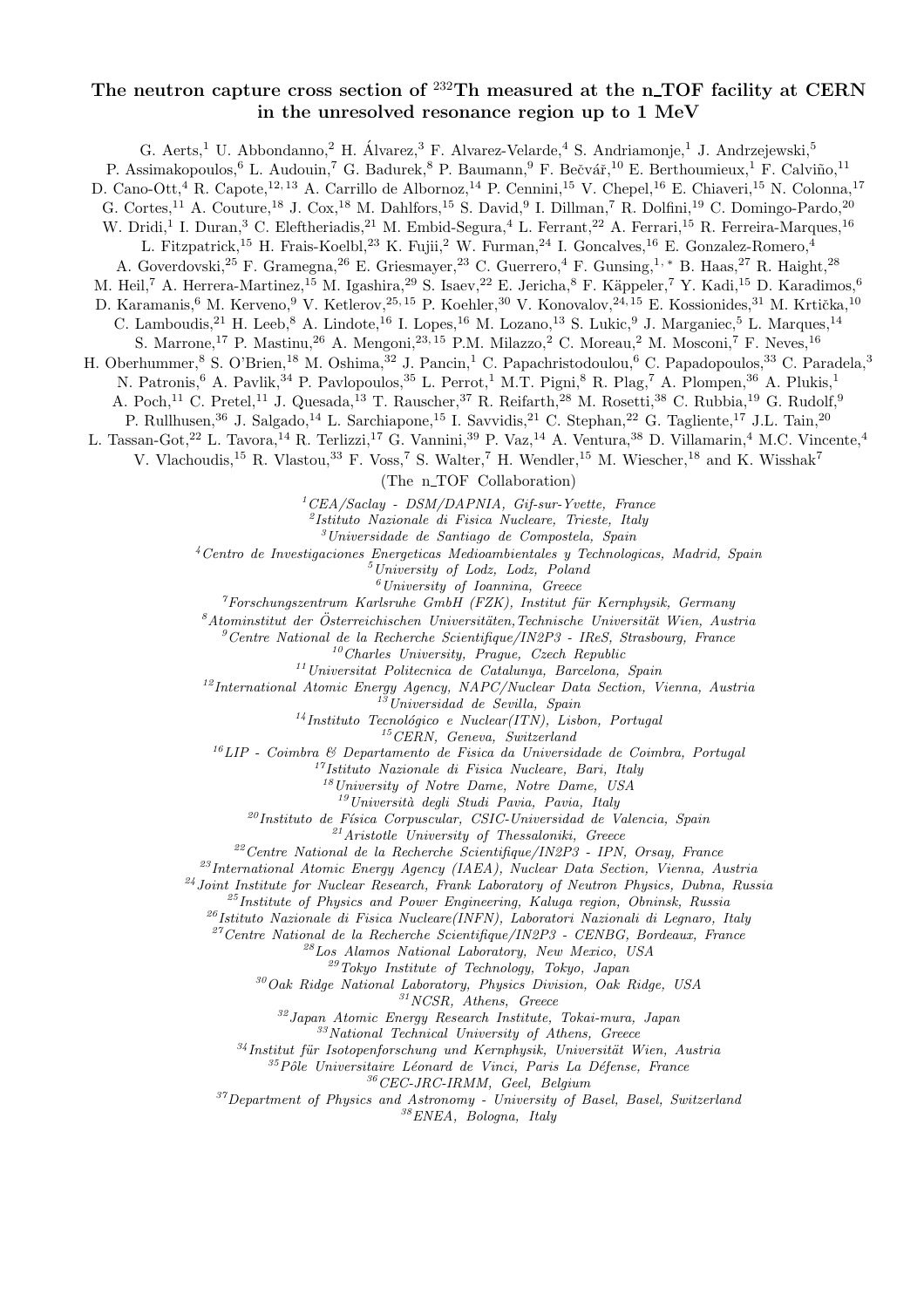### The neutron capture cross section of  $^{232}$ Th measured at the n\_TOF facility at CERN in the unresolved resonance region up to 1 MeV

G. Aerts,<sup>1</sup> U. Abbondanno,<sup>2</sup> H. Álvarez,<sup>3</sup> F. Alvarez-Velarde,<sup>4</sup> S. Andriamonje,<sup>1</sup> J. Andrzejewski,<sup>5</sup> P. Assimakopoulos,<sup>6</sup> L. Audouin,<sup>7</sup> G. Badurek,<sup>8</sup> P. Baumann,<sup>9</sup> F. Bečvář,<sup>10</sup> E. Berthoumieux,<sup>1</sup> F. Calviño,<sup>11</sup> D. Cano-Ott,<sup>4</sup> R. Capote,<sup>12, 13</sup> A. Carrillo de Albornoz,<sup>14</sup> P. Cennini,<sup>15</sup> V. Chepel,<sup>16</sup> E. Chiaveri,<sup>15</sup> N. Colonna,<sup>17</sup> G. Cortes,<sup>11</sup> A. Couture,<sup>18</sup> J. Cox,<sup>18</sup> M. Dahlfors,<sup>15</sup> S. David,<sup>9</sup> I. Dillman,<sup>7</sup> R. Dolfini,<sup>19</sup> C. Domingo-Pardo,<sup>20</sup> W. Dridi,<sup>1</sup> I. Duran,<sup>3</sup> C. Eleftheriadis,<sup>21</sup> M. Embid-Segura,<sup>4</sup> L. Ferrant,<sup>22</sup> A. Ferrari,<sup>15</sup> R. Ferreira-Marques,<sup>16</sup> L. Fitzpatrick,<sup>15</sup> H. Frais-Koelbl,<sup>23</sup> K. Fujii,<sup>2</sup> W. Furman,<sup>24</sup> I. Goncalves,<sup>16</sup> E. Gonzalez-Romero,<sup>4</sup> A. Goverdovski,<sup>25</sup> F. Gramegna,<sup>26</sup> E. Griesmayer,<sup>23</sup> C. Guerrero,<sup>4</sup> F. Gunsing,1, <sup>∗</sup> B. Haas,<sup>27</sup> R. Haight,<sup>28</sup> M. Heil,<sup>7</sup> A. Herrera-Martinez,<sup>15</sup> M. Igashira,<sup>29</sup> S. Isaev,<sup>22</sup> E. Jericha,<sup>8</sup> F. Käppeler,<sup>7</sup> Y. Kadi,<sup>15</sup> D. Karadimos,<sup>6</sup> D. Karamanis,<sup>6</sup> M. Kerveno,<sup>9</sup> V. Ketlerov,<sup>25,15</sup> P. Koehler,<sup>30</sup> V. Konovalov,<sup>24,15</sup> E. Kossionides,<sup>31</sup> M. Krtička,<sup>10</sup> C. Lamboudis, <sup>21</sup> H. Leeb, <sup>8</sup> A. Lindote, <sup>16</sup> I. Lopes, <sup>16</sup> M. Lozano, <sup>13</sup> S. Lukic, <sup>9</sup> J. Marganiec, <sup>5</sup> L. Marques, <sup>14</sup> S. Marrone,<sup>17</sup> P. Mastinu,<sup>26</sup> A. Mengoni,<sup>23, 15</sup> P.M. Milazzo,<sup>2</sup> C. Moreau,<sup>2</sup> M. Mosconi,<sup>7</sup> F. Neves,<sup>16</sup> H. Oberhummer,<sup>8</sup> S. O'Brien,<sup>18</sup> M. Oshima,<sup>32</sup> J. Pancin,<sup>1</sup> C. Papachristodoulou,<sup>6</sup> C. Papadopoulos,<sup>33</sup> C. Paradela,<sup>3</sup> N. Patronis,<sup>6</sup> A. Pavlik,<sup>34</sup> P. Pavlopoulos,<sup>35</sup> L. Perrot,<sup>1</sup> M.T. Pigni,<sup>8</sup> R. Plag,<sup>7</sup> A. Plompen,<sup>36</sup> A. Plukis,<sup>1</sup> A. Poch,<sup>11</sup> C. Pretel,<sup>11</sup> J. Quesada,<sup>13</sup> T. Rauscher,<sup>37</sup> R. Reifarth,<sup>28</sup> M. Rosetti,<sup>38</sup> C. Rubbia,<sup>19</sup> G. Rudolf,<sup>9</sup> P. Rullhusen,<sup>36</sup> J. Salgado,<sup>14</sup> L. Sarchiapone,<sup>15</sup> I. Savvidis,<sup>21</sup> C. Stephan,<sup>22</sup> G. Tagliente,<sup>17</sup> J.L. Tain,<sup>20</sup> L. Tassan-Got,<sup>22</sup> L. Tavora,<sup>14</sup> R. Terlizzi,<sup>17</sup> G. Vannini,<sup>39</sup> P. Vaz,<sup>14</sup> A. Ventura,<sup>38</sup> D. Villamarin,<sup>4</sup> M.C. Vincente,<sup>4</sup> V. Vlachoudis,<sup>15</sup> R. Vlastou,<sup>33</sup> F. Voss,<sup>7</sup> S. Walter,<sup>7</sup> H. Wendler,<sup>15</sup> M. Wiescher,<sup>18</sup> and K. Wisshak<sup>7</sup> (The n TOF Collaboration)  ${}^{1}$ CEA/Saclay - DSM/DAPNIA, Gif-sur-Yvette, France 2 Istituto Nazionale di Fisica Nucleare, Trieste, Italy  $3$ Universidade de Santiago de Compostela, Spain <sup>4</sup>Centro de Investigaciones Energeticas Medioambientales y Technologicas, Madrid, Spain <sup>5</sup>University of Lodz, Lodz, Poland  $<sup>6</sup> University$  of Ioannina, Greece</sup>  $7$ Forschungszentrum Karlsruhe GmbH (FZK), Institut für Kernphysik, Germany  $8$ Atominstitut der Österreichischen Universitäten, Technische Universität Wien, Austria

 $^{9}$ Centre National de la Recherche Scientifique/IN2P3 - IReS, Strasbourg, France

 $10$ Charles University, Prague, Czech Republic

<sup>11</sup>Universitat Politecnica de Catalunya, Barcelona, Spain

<sup>12</sup>International Atomic Energy Agency, NAPC/Nuclear Data Section, Vienna, Austria

 $13$ Universidad de Sevilla, Spain

 $14$ Instituto Tecnológico e Nuclear(ITN), Lisbon, Portugal

 $15$ CERN, Geneva, Switzerland

 $16$ LIP - Coimbra  $6$  Departamento de Fisica da Universidade de Coimbra, Portugal

 $\gamma$ Istituto Nazionale di Fisica Nucleare, Bari, Italy

<sup>18</sup>University of Notre Dame, Notre Dame, USA

 $19$ Università degli Studi Pavia, Pavia, Italy

 $^{20}$ Instituto de Física Corpuscular, CSIC-Universidad de Valencia, Spain

<sup>21</sup>Aristotle University of Thessaloniki, Greece

<sup>22</sup>Centre National de la Recherche Scientifique/IN2P3 - IPN, Orsay, France

<sup>23</sup>International Atomic Energy Agency (IAEA), Nuclear Data Section, Vienna, Austria

<sup>24</sup> Joint Institute for Nuclear Research, Frank Laboratory of Neutron Physics, Dubna, Russia

 $^{25}$ Institute of Physics and Power Engineering, Kaluga region, Obninsk, Russia

 $^{26}$ Istituto Nazionale di Fisica Nucleare(INFN), Laboratori Nazionali di Legnaro, Italy

 $27$ Centre National de la Recherche Scientifique/IN2P3 - CENBG, Bordeaux, France

 $^{28}$ Los Alamos National Laboratory, New Mexico, USA

<sup>29</sup>Tokyo Institute of Technology, Tokyo, Japan

 $30Oak$  Ridge National Laboratory, Physics Division, Oak Ridge, USA

 $$^{31}NCSR$,$  Athens, Greece

<sup>32</sup>Japan Atomic Energy Research Institute, Tokai-mura, Japan

 $333$ National Technical University of Athens, Greece

 $34$ Institut für Isotopenforschung und Kernphysik, Universität Wien, Austria

 $35P$ ôle Universitaire Léonard de Vinci, Paris La Défense, France

 $^{36}CEC\mbox{-}JRC\mbox{-}IRMM,~Geel,~Belgium$ 

 $37$ Department of Physics and Astronomy - University of Basel, Basel, Switzerland

 $38$ ENEA, Bologna, Italy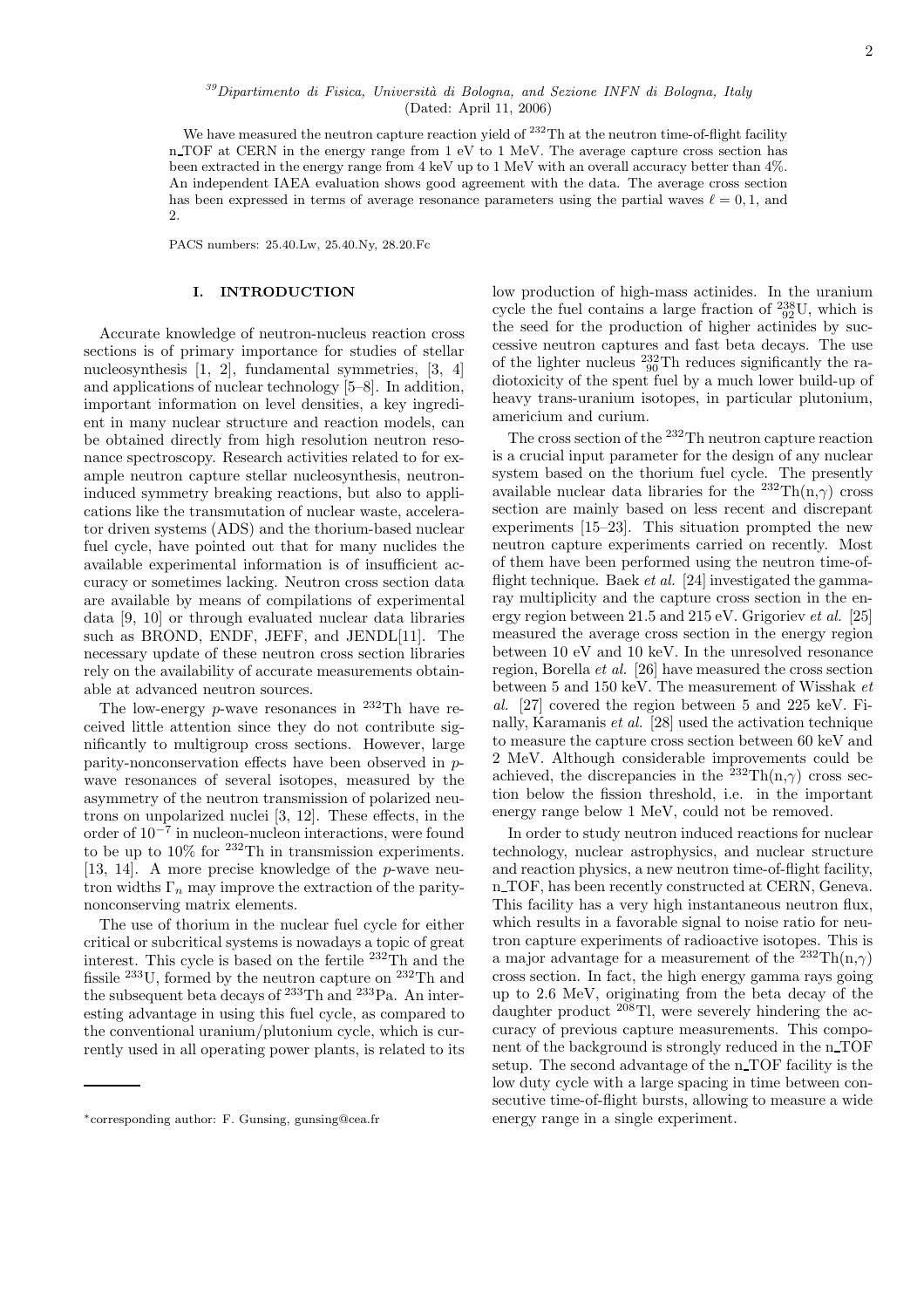#### $39$ Dipartimento di Fisica, Università di Bologna, and Sezione INFN di Bologna, Italy (Dated: April 11, 2006)

We have measured the neutron capture reaction yield of  $^{232}$ Th at the neutron time-of-flight facility n TOF at CERN in the energy range from 1 eV to 1 MeV. The average capture cross section has been extracted in the energy range from 4 keV up to 1 MeV with an overall accuracy better than 4%. An independent IAEA evaluation shows good agreement with the data. The average cross section has been expressed in terms of average resonance parameters using the partial waves  $\ell = 0, 1$ , and 2.

PACS numbers: 25.40.Lw, 25.40.Ny, 28.20.Fc

#### I. INTRODUCTION

Accurate knowledge of neutron-nucleus reaction cross sections is of primary importance for studies of stellar nucleosynthesis [1, 2], fundamental symmetries, [3, 4] and applications of nuclear technology [5–8]. In addition, important information on level densities, a key ingredient in many nuclear structure and reaction models, can be obtained directly from high resolution neutron resonance spectroscopy. Research activities related to for example neutron capture stellar nucleosynthesis, neutroninduced symmetry breaking reactions, but also to applications like the transmutation of nuclear waste, accelerator driven systems (ADS) and the thorium-based nuclear fuel cycle, have pointed out that for many nuclides the available experimental information is of insufficient accuracy or sometimes lacking. Neutron cross section data are available by means of compilations of experimental data [9, 10] or through evaluated nuclear data libraries such as BROND, ENDF, JEFF, and JENDL[11]. The necessary update of these neutron cross section libraries rely on the availability of accurate measurements obtainable at advanced neutron sources.

The low-energy  $p$ -wave resonances in <sup>232</sup>Th have received little attention since they do not contribute significantly to multigroup cross sections. However, large parity-nonconservation effects have been observed in pwave resonances of several isotopes, measured by the asymmetry of the neutron transmission of polarized neutrons on unpolarized nuclei [3, 12]. These effects, in the order of 10<sup>−</sup><sup>7</sup> in nucleon-nucleon interactions, were found to be up to  $10\%$  for  $232$ Th in transmission experiments. [13, 14]. A more precise knowledge of the p-wave neutron widths  $\Gamma_n$  may improve the extraction of the paritynonconserving matrix elements.

The use of thorium in the nuclear fuel cycle for either critical or subcritical systems is nowadays a topic of great interest. This cycle is based on the fertile <sup>232</sup>Th and the fissile  $^{233}$ U, formed by the neutron capture on  $^{232}$ Th and the subsequent beta decays of <sup>233</sup>Th and <sup>233</sup>Pa. An interesting advantage in using this fuel cycle, as compared to the conventional uranium/plutonium cycle, which is currently used in all operating power plants, is related to its low production of high-mass actinides. In the uranium cycle the fuel contains a large fraction of  $^{238}_{92}$ U, which is the seed for the production of higher actinides by successive neutron captures and fast beta decays. The use of the lighter nucleus  $^{232}_{90}$ Th reduces significantly the radiotoxicity of the spent fuel by a much lower build-up of heavy trans-uranium isotopes, in particular plutonium, americium and curium.

The cross section of the <sup>232</sup>Th neutron capture reaction is a crucial input parameter for the design of any nuclear system based on the thorium fuel cycle. The presently available nuclear data libraries for the  $^{232}\text{Th(n,} \gamma)$  cross section are mainly based on less recent and discrepant experiments [15–23]. This situation prompted the new neutron capture experiments carried on recently. Most of them have been performed using the neutron time-offlight technique. Baek *et al.* [24] investigated the gammaray multiplicity and the capture cross section in the energy region between 21.5 and 215 eV. Grigoriev et al. [25] measured the average cross section in the energy region between 10 eV and 10 keV. In the unresolved resonance region, Borella et al. [26] have measured the cross section between 5 and 150 keV. The measurement of Wisshak et al. [27] covered the region between 5 and 225 keV. Finally, Karamanis et al. [28] used the activation technique to measure the capture cross section between 60 keV and 2 MeV. Although considerable improvements could be achieved, the discrepancies in the  $232 \text{Th}(n,\gamma)$  cross section below the fission threshold, i.e. in the important energy range below 1 MeV, could not be removed.

In order to study neutron induced reactions for nuclear technology, nuclear astrophysics, and nuclear structure and reaction physics, a new neutron time-of-flight facility, n TOF, has been recently constructed at CERN, Geneva. This facility has a very high instantaneous neutron flux, which results in a favorable signal to noise ratio for neutron capture experiments of radioactive isotopes. This is a major advantage for a measurement of the  ${}^{232}\mathrm{Th}(\mathrm{n},\gamma)$ cross section. In fact, the high energy gamma rays going up to 2.6 MeV, originating from the beta decay of the daughter product  $^{208}$ Tl, were severely hindering the accuracy of previous capture measurements. This component of the background is strongly reduced in the n\_TOF setup. The second advantage of the n TOF facility is the low duty cycle with a large spacing in time between consecutive time-of-flight bursts, allowing to measure a wide energy range in a single experiment.

<sup>∗</sup>corresponding author: F. Gunsing, gunsing@cea.fr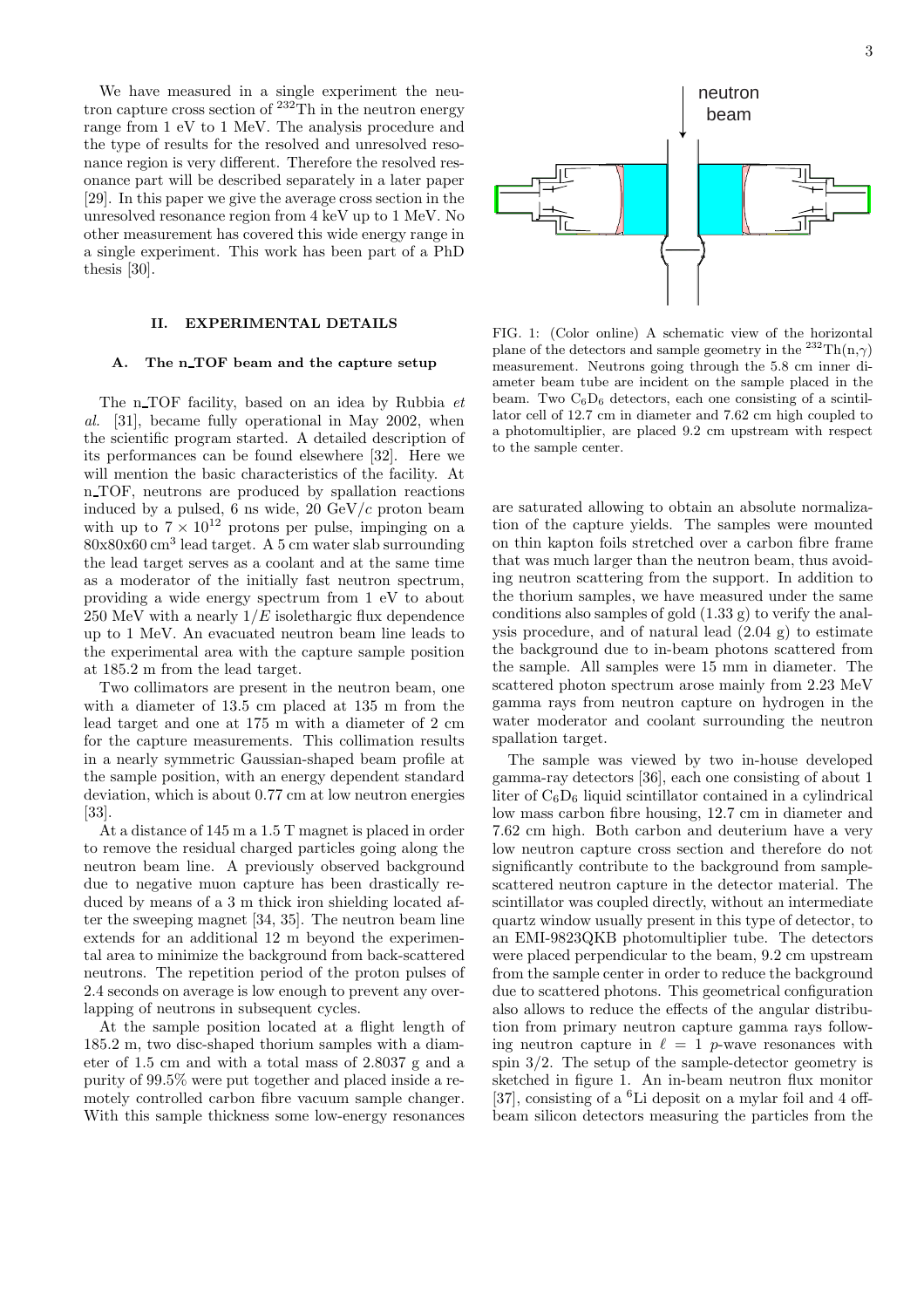We have measured in a single experiment the neutron capture cross section of <sup>232</sup>Th in the neutron energy range from 1 eV to 1 MeV. The analysis procedure and the type of results for the resolved and unresolved resonance region is very different. Therefore the resolved resonance part will be described separately in a later paper [29]. In this paper we give the average cross section in the unresolved resonance region from 4 keV up to 1 MeV. No other measurement has covered this wide energy range in a single experiment. This work has been part of a PhD thesis [30].

#### II. EXPERIMENTAL DETAILS

#### A. The n\_TOF beam and the capture setup

The n TOF facility, based on an idea by Rubbia  $et$ al. [31], became fully operational in May 2002, when the scientific program started. A detailed description of its performances can be found elsewhere [32]. Here we will mention the basic characteristics of the facility. At n TOF, neutrons are produced by spallation reactions induced by a pulsed, 6 ns wide, 20  $GeV/c$  proton beam with up to  $7 \times 10^{12}$  protons per pulse, impinging on a  $80x80x60$  cm<sup>3</sup> lead target. A 5 cm water slab surrounding the lead target serves as a coolant and at the same time as a moderator of the initially fast neutron spectrum, providing a wide energy spectrum from 1 eV to about 250 MeV with a nearly  $1/E$  isolethargic flux dependence up to 1 MeV. An evacuated neutron beam line leads to the experimental area with the capture sample position at 185.2 m from the lead target.

Two collimators are present in the neutron beam, one with a diameter of 13.5 cm placed at 135 m from the lead target and one at 175 m with a diameter of 2 cm for the capture measurements. This collimation results in a nearly symmetric Gaussian-shaped beam profile at the sample position, with an energy dependent standard deviation, which is about 0.77 cm at low neutron energies [33].

At a distance of 145 m a 1.5 T magnet is placed in order to remove the residual charged particles going along the neutron beam line. A previously observed background due to negative muon capture has been drastically reduced by means of a 3 m thick iron shielding located after the sweeping magnet [34, 35]. The neutron beam line extends for an additional 12 m beyond the experimental area to minimize the background from back-scattered neutrons. The repetition period of the proton pulses of 2.4 seconds on average is low enough to prevent any overlapping of neutrons in subsequent cycles.

At the sample position located at a flight length of 185.2 m, two disc-shaped thorium samples with a diameter of 1.5 cm and with a total mass of 2.8037 g and a purity of 99.5% were put together and placed inside a remotely controlled carbon fibre vacuum sample changer. With this sample thickness some low-energy resonances



FIG. 1: (Color online) A schematic view of the horizontal plane of the detectors and sample geometry in the  $^{232} \text{Th}(n,\gamma)$ measurement. Neutrons going through the 5.8 cm inner diameter beam tube are incident on the sample placed in the beam. Two  $C_6D_6$  detectors, each one consisting of a scintillator cell of 12.7 cm in diameter and 7.62 cm high coupled to a photomultiplier, are placed 9.2 cm upstream with respect to the sample center.

are saturated allowing to obtain an absolute normalization of the capture yields. The samples were mounted on thin kapton foils stretched over a carbon fibre frame that was much larger than the neutron beam, thus avoiding neutron scattering from the support. In addition to the thorium samples, we have measured under the same conditions also samples of gold  $(1.33 \text{ g})$  to verify the analysis procedure, and of natural lead  $(2.04 \text{ g})$  to estimate the background due to in-beam photons scattered from the sample. All samples were 15 mm in diameter. The scattered photon spectrum arose mainly from 2.23 MeV gamma rays from neutron capture on hydrogen in the water moderator and coolant surrounding the neutron spallation target.

The sample was viewed by two in-house developed gamma-ray detectors [36], each one consisting of about 1 liter of  $C_6D_6$  liquid scintillator contained in a cylindrical low mass carbon fibre housing, 12.7 cm in diameter and 7.62 cm high. Both carbon and deuterium have a very low neutron capture cross section and therefore do not significantly contribute to the background from samplescattered neutron capture in the detector material. The scintillator was coupled directly, without an intermediate quartz window usually present in this type of detector, to an EMI-9823QKB photomultiplier tube. The detectors were placed perpendicular to the beam, 9.2 cm upstream from the sample center in order to reduce the background due to scattered photons. This geometrical configuration also allows to reduce the effects of the angular distribution from primary neutron capture gamma rays following neutron capture in  $\ell = 1$  p-wave resonances with spin 3/2. The setup of the sample-detector geometry is sketched in figure 1. An in-beam neutron flux monitor [37], consisting of a  ${}^{6}$ Li deposit on a mylar foil and 4 offbeam silicon detectors measuring the particles from the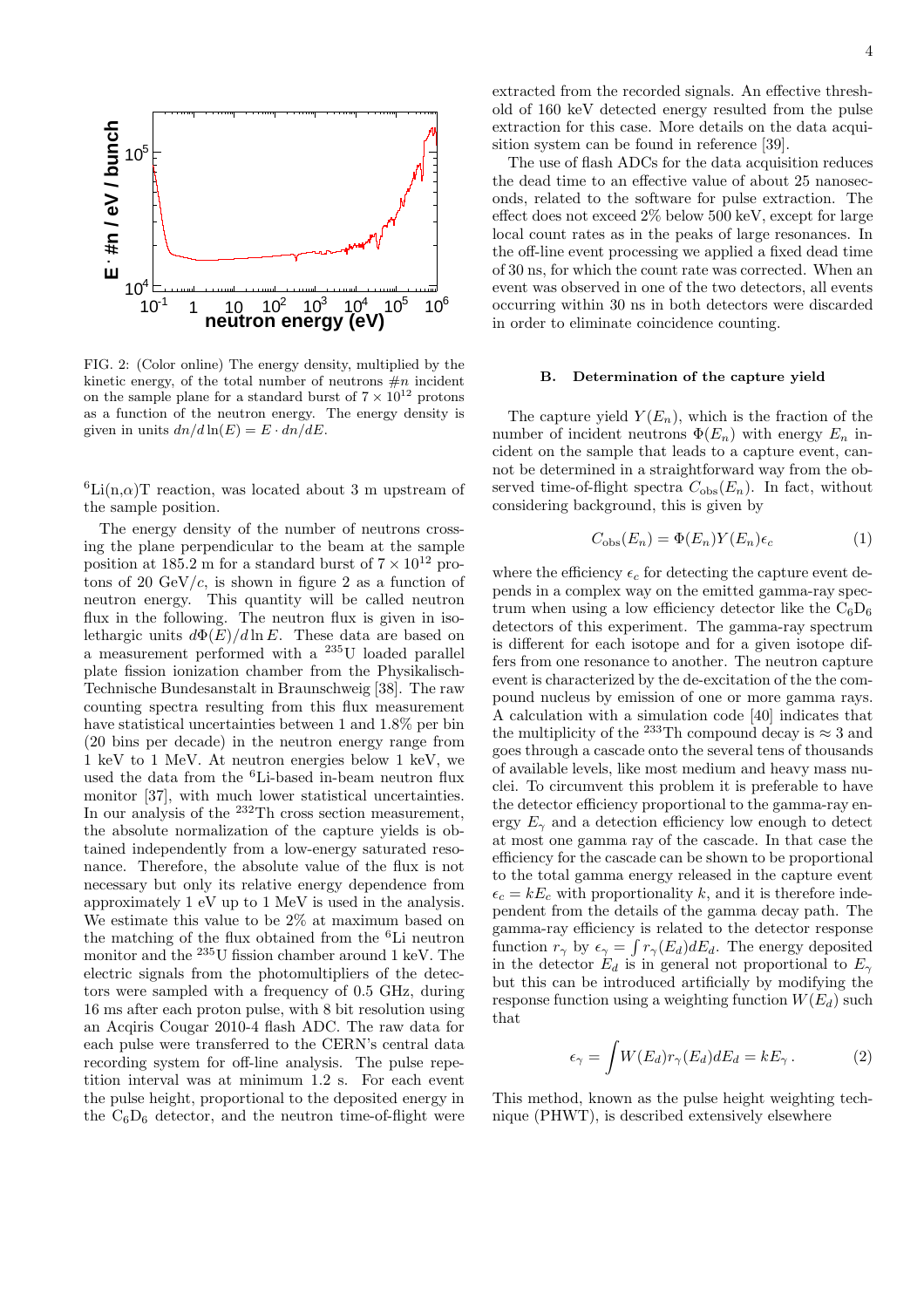

FIG. 2: (Color online) The energy density, multiplied by the kinetic energy, of the total number of neutrons  $\#n$  incident on the sample plane for a standard burst of  $7 \times 10^{12}$  protons as a function of the neutron energy. The energy density is given in units  $dn/d \ln(E) = E \cdot dn/dE$ .

 ${}^6\text{Li}(n,\alpha)$ T reaction, was located about 3 m upstream of the sample position.

The energy density of the number of neutrons crossing the plane perpendicular to the beam at the sample position at 185.2 m for a standard burst of  $7 \times 10^{12}$  protons of 20  $\text{GeV}/c$ , is shown in figure 2 as a function of neutron energy. This quantity will be called neutron flux in the following. The neutron flux is given in isolethargic units  $d\Phi(E)/d\ln E$ . These data are based on a measurement performed with a <sup>235</sup>U loaded parallel plate fission ionization chamber from the Physikalisch-Technische Bundesanstalt in Braunschweig [38]. The raw counting spectra resulting from this flux measurement have statistical uncertainties between 1 and 1.8% per bin (20 bins per decade) in the neutron energy range from 1 keV to 1 MeV. At neutron energies below 1 keV, we used the data from the <sup>6</sup>Li-based in-beam neutron flux monitor [37], with much lower statistical uncertainties. In our analysis of the <sup>232</sup>Th cross section measurement, the absolute normalization of the capture yields is obtained independently from a low-energy saturated resonance. Therefore, the absolute value of the flux is not necessary but only its relative energy dependence from approximately 1 eV up to 1 MeV is used in the analysis. We estimate this value to be 2% at maximum based on the matching of the flux obtained from the  ${}^{6}$ Li neutron monitor and the <sup>235</sup>U fission chamber around 1 keV. The electric signals from the photomultipliers of the detectors were sampled with a frequency of 0.5 GHz, during 16 ms after each proton pulse, with 8 bit resolution using an Acqiris Cougar 2010-4 flash ADC. The raw data for each pulse were transferred to the CERN's central data recording system for off-line analysis. The pulse repetition interval was at minimum 1.2 s. For each event the pulse height, proportional to the deposited energy in the  $C_6D_6$  detector, and the neutron time-of-flight were extracted from the recorded signals. An effective threshold of 160 keV detected energy resulted from the pulse extraction for this case. More details on the data acquisition system can be found in reference [39].

The use of flash ADCs for the data acquisition reduces the dead time to an effective value of about 25 nanoseconds, related to the software for pulse extraction. The effect does not exceed 2% below 500 keV, except for large local count rates as in the peaks of large resonances. In the off-line event processing we applied a fixed dead time of 30 ns, for which the count rate was corrected. When an event was observed in one of the two detectors, all events occurring within 30 ns in both detectors were discarded in order to eliminate coincidence counting.

#### B. Determination of the capture yield

The capture yield  $Y(E_n)$ , which is the fraction of the number of incident neutrons  $\Phi(E_n)$  with energy  $E_n$  incident on the sample that leads to a capture event, cannot be determined in a straightforward way from the observed time-of-flight spectra  $C_{obs}(E_n)$ . In fact, without considering background, this is given by

$$
C_{\text{obs}}(E_n) = \Phi(E_n) Y(E_n) \epsilon_c \tag{1}
$$

where the efficiency  $\epsilon_c$  for detecting the capture event depends in a complex way on the emitted gamma-ray spectrum when using a low efficiency detector like the  $C_6D_6$ detectors of this experiment. The gamma-ray spectrum is different for each isotope and for a given isotope differs from one resonance to another. The neutron capture event is characterized by the de-excitation of the the compound nucleus by emission of one or more gamma rays. A calculation with a simulation code [40] indicates that the multiplicity of the <sup>233</sup>Th compound decay is  $\approx 3$  and goes through a cascade onto the several tens of thousands of available levels, like most medium and heavy mass nuclei. To circumvent this problem it is preferable to have the detector efficiency proportional to the gamma-ray energy  $E_{\gamma}$  and a detection efficiency low enough to detect at most one gamma ray of the cascade. In that case the efficiency for the cascade can be shown to be proportional to the total gamma energy released in the capture event  $\epsilon_c = kE_c$  with proportionality k, and it is therefore independent from the details of the gamma decay path. The gamma-ray efficiency is related to the detector response function  $r_{\gamma}$  by  $\epsilon_{\gamma} = \int r_{\gamma}(E_d) dE_d$ . The energy deposited in the detector  $E_d$  is in general not proportional to  $E_\gamma$ but this can be introduced artificially by modifying the response function using a weighting function  $W(E_d)$  such that

$$
\epsilon_{\gamma} = \int W(E_d) r_{\gamma}(E_d) dE_d = kE_{\gamma} . \tag{2}
$$

This method, known as the pulse height weighting technique (PHWT), is described extensively elsewhere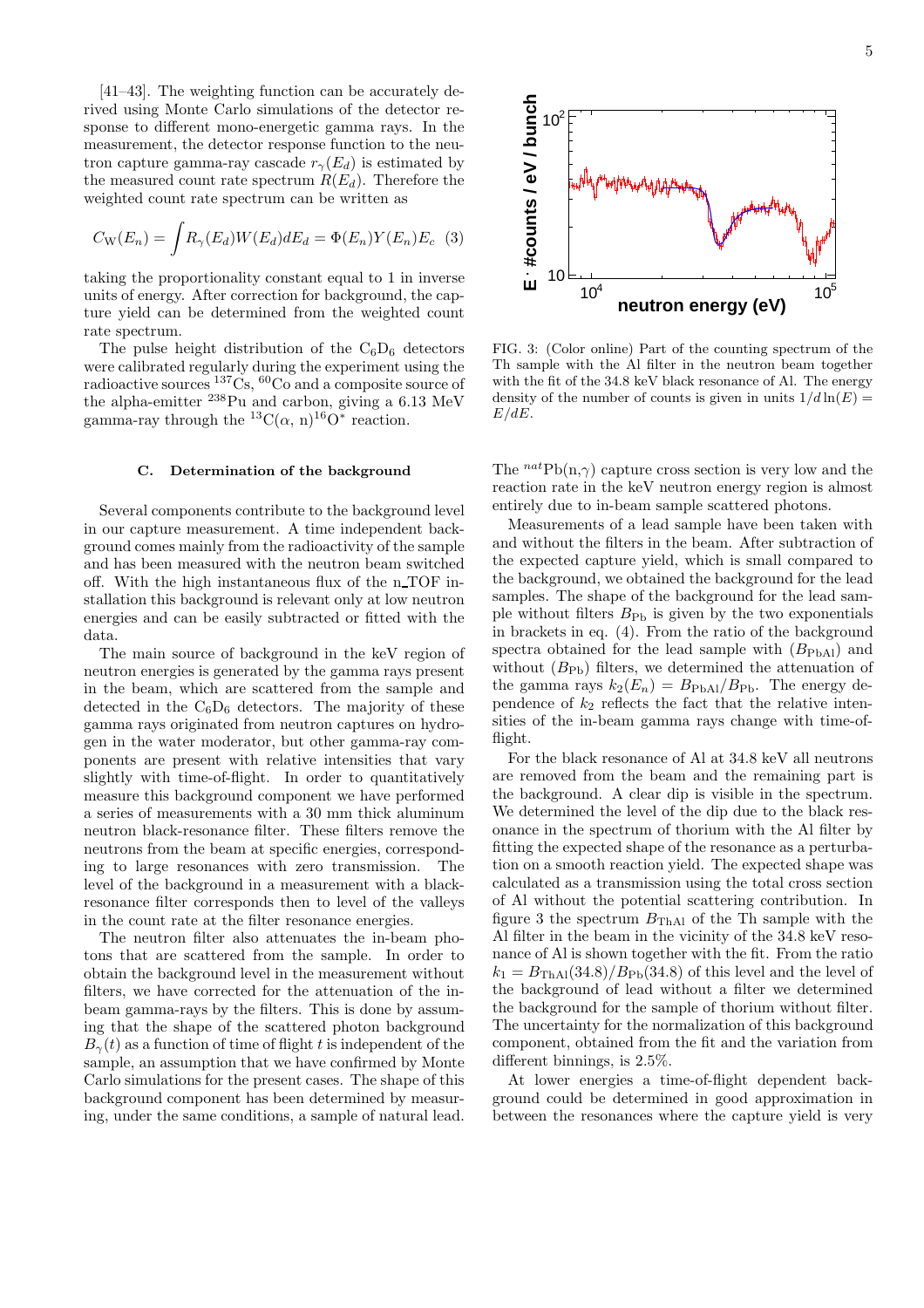[41–43]. The weighting function can be accurately derived using Monte Carlo simulations of the detector response to different mono-energetic gamma rays. In the measurement, the detector response function to the neutron capture gamma-ray cascade  $r_{\gamma}(E_d)$  is estimated by the measured count rate spectrum  $R(E_d)$ . Therefore the weighted count rate spectrum can be written as

$$
C_{\rm W}(E_n) = \int R_{\gamma}(E_d) W(E_d) dE_d = \Phi(E_n) Y(E_n) E_c
$$
 (3)

taking the proportionality constant equal to 1 in inverse units of energy. After correction for background, the capture yield can be determined from the weighted count rate spectrum.

The pulse height distribution of the  $C_6D_6$  detectors were calibrated regularly during the experiment using the radioactive sources <sup>137</sup>Cs, <sup>60</sup>Co and a composite source of the alpha-emitter <sup>238</sup>Pu and carbon, giving a 6.13 MeV gamma-ray through the <sup>13</sup>C( $\alpha$ , n)<sup>16</sup>O<sup>\*</sup> reaction.

#### C. Determination of the background

Several components contribute to the background level in our capture measurement. A time independent background comes mainly from the radioactivity of the sample and has been measured with the neutron beam switched off. With the high instantaneous flux of the n TOF installation this background is relevant only at low neutron energies and can be easily subtracted or fitted with the data.

The main source of background in the keV region of neutron energies is generated by the gamma rays present in the beam, which are scattered from the sample and detected in the  $C_6D_6$  detectors. The majority of these gamma rays originated from neutron captures on hydrogen in the water moderator, but other gamma-ray components are present with relative intensities that vary slightly with time-of-flight. In order to quantitatively measure this background component we have performed a series of measurements with a 30 mm thick aluminum neutron black-resonance filter. These filters remove the neutrons from the beam at specific energies, corresponding to large resonances with zero transmission. The level of the background in a measurement with a blackresonance filter corresponds then to level of the valleys in the count rate at the filter resonance energies.

The neutron filter also attenuates the in-beam photons that are scattered from the sample. In order to obtain the background level in the measurement without filters, we have corrected for the attenuation of the inbeam gamma-rays by the filters. This is done by assuming that the shape of the scattered photon background  $B_{\gamma}(t)$  as a function of time of flight t is independent of the sample, an assumption that we have confirmed by Monte Carlo simulations for the present cases. The shape of this background component has been determined by measuring, under the same conditions, a sample of natural lead.



FIG. 3: (Color online) Part of the counting spectrum of the Th sample with the Al filter in the neutron beam together with the fit of the 34.8 keV black resonance of Al. The energy density of the number of counts is given in units  $1/d \ln(E) =$  $E/dE$ .

The  $^{nat}Pb(n,\gamma)$  capture cross section is very low and the reaction rate in the keV neutron energy region is almost entirely due to in-beam sample scattered photons.

Measurements of a lead sample have been taken with and without the filters in the beam. After subtraction of the expected capture yield, which is small compared to the background, we obtained the background for the lead samples. The shape of the background for the lead sample without filters  $B_{\text{Pb}}$  is given by the two exponentials in brackets in eq. (4). From the ratio of the background spectra obtained for the lead sample with  $(B_{\text{PhAl}})$  and without  $(B_{\text{Ph}})$  filters, we determined the attenuation of the gamma rays  $k_2(E_n) = B_{\text{PbAl}}/B_{\text{Pb}}$ . The energy dependence of  $k_2$  reflects the fact that the relative intensities of the in-beam gamma rays change with time-offlight.

For the black resonance of Al at 34.8 keV all neutrons are removed from the beam and the remaining part is the background. A clear dip is visible in the spectrum. We determined the level of the dip due to the black resonance in the spectrum of thorium with the Al filter by fitting the expected shape of the resonance as a perturbation on a smooth reaction yield. The expected shape was calculated as a transmission using the total cross section of Al without the potential scattering contribution. In figure 3 the spectrum  $B_{\text{ThAl}}$  of the Th sample with the Al filter in the beam in the vicinity of the 34.8 keV resonance of Al is shown together with the fit. From the ratio  $k_1 = B_{\text{ThAl}}(34.8)/B_{\text{Pb}}(34.8)$  of this level and the level of the background of lead without a filter we determined the background for the sample of thorium without filter. The uncertainty for the normalization of this background component, obtained from the fit and the variation from different binnings, is 2.5%.

At lower energies a time-of-flight dependent background could be determined in good approximation in between the resonances where the capture yield is very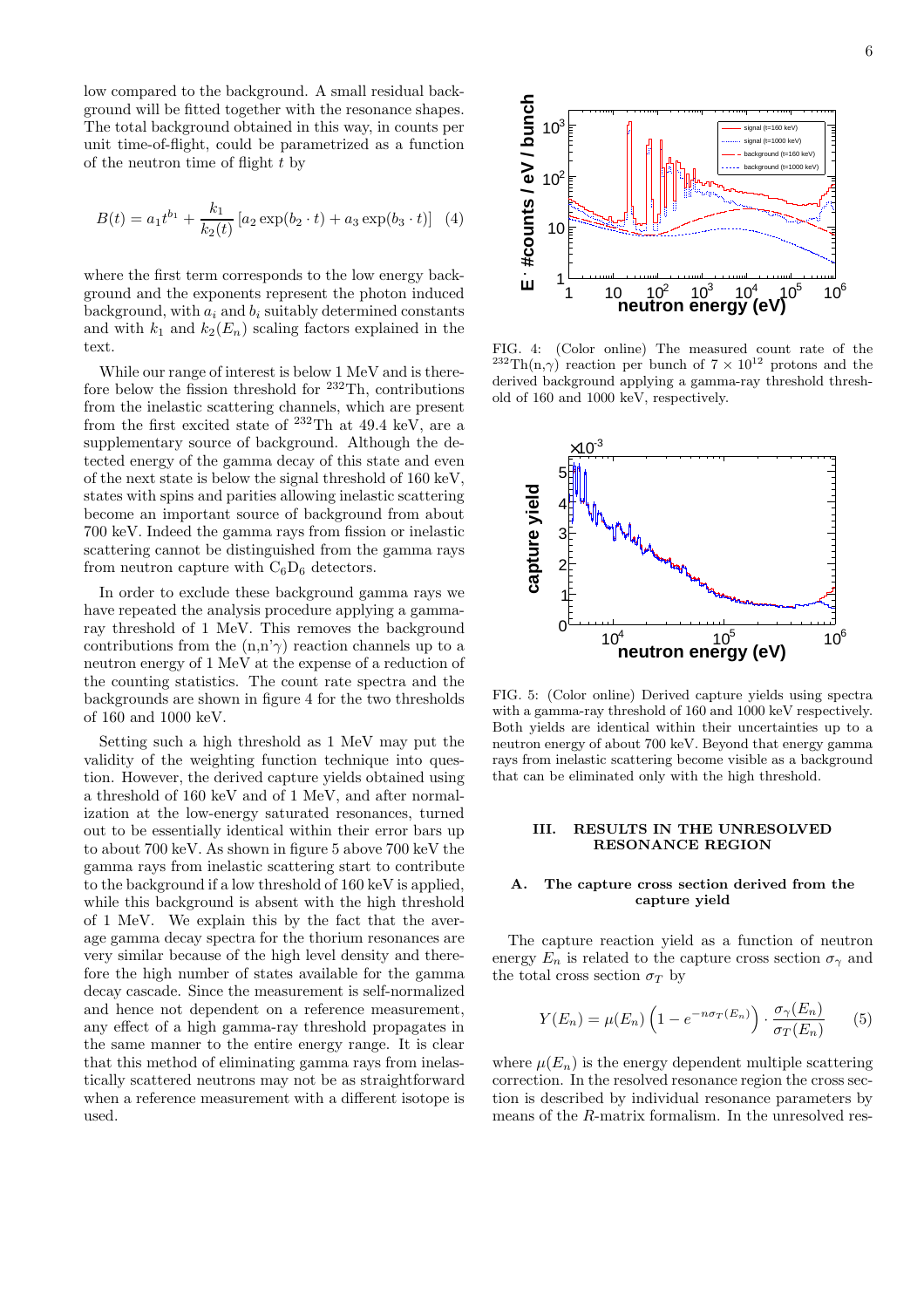low compared to the background. A small residual background will be fitted together with the resonance shapes. The total background obtained in this way, in counts per unit time-of-flight, could be parametrized as a function of the neutron time of flight  $t$  by

$$
B(t) = a_1 t^{b_1} + \frac{k_1}{k_2(t)} \left[ a_2 \exp(b_2 \cdot t) + a_3 \exp(b_3 \cdot t) \right] (4)
$$

where the first term corresponds to the low energy background and the exponents represent the photon induced background, with  $a_i$  and  $b_i$  suitably determined constants and with  $k_1$  and  $k_2(E_n)$  scaling factors explained in the text.

While our range of interest is below 1 MeV and is therefore below the fission threshold for  $232$ Th, contributions from the inelastic scattering channels, which are present from the first excited state of  $^{232}$ Th at 49.4 keV, are a supplementary source of background. Although the detected energy of the gamma decay of this state and even of the next state is below the signal threshold of 160 keV, states with spins and parities allowing inelastic scattering become an important source of background from about 700 keV. Indeed the gamma rays from fission or inelastic scattering cannot be distinguished from the gamma rays from neutron capture with  $C_6D_6$  detectors.

In order to exclude these background gamma rays we have repeated the analysis procedure applying a gammaray threshold of 1 MeV. This removes the background contributions from the  $(n,n'\gamma)$  reaction channels up to a neutron energy of 1 MeV at the expense of a reduction of the counting statistics. The count rate spectra and the backgrounds are shown in figure 4 for the two thresholds of 160 and 1000 keV.

Setting such a high threshold as 1 MeV may put the validity of the weighting function technique into question. However, the derived capture yields obtained using a threshold of 160 keV and of 1 MeV, and after normalization at the low-energy saturated resonances, turned out to be essentially identical within their error bars up to about 700 keV. As shown in figure 5 above 700 keV the gamma rays from inelastic scattering start to contribute to the background if a low threshold of 160 keV is applied, while this background is absent with the high threshold of 1 MeV. We explain this by the fact that the average gamma decay spectra for the thorium resonances are very similar because of the high level density and therefore the high number of states available for the gamma decay cascade. Since the measurement is self-normalized and hence not dependent on a reference measurement, any effect of a high gamma-ray threshold propagates in the same manner to the entire energy range. It is clear that this method of eliminating gamma rays from inelastically scattered neutrons may not be as straightforward when a reference measurement with a different isotope is used.



FIG. 4: (Color online) The measured count rate of the <sup>232</sup>Th(n,γ) reaction per bunch of  $7 \times 10^{12}$  protons and the derived background applying a gamma-ray threshold threshold of 160 and 1000 keV, respectively.



FIG. 5: (Color online) Derived capture yields using spectra with a gamma-ray threshold of 160 and 1000 keV respectively. Both yields are identical within their uncertainties up to a neutron energy of about 700 keV. Beyond that energy gamma rays from inelastic scattering become visible as a background that can be eliminated only with the high threshold.

#### III. RESULTS IN THE UNRESOLVED RESONANCE REGION

#### The capture cross section derived from the capture yield

The capture reaction yield as a function of neutron energy  $E_n$  is related to the capture cross section  $\sigma_\gamma$  and the total cross section  $\sigma_T$  by

$$
Y(E_n) = \mu(E_n) \left( 1 - e^{-n\sigma_T(E_n)} \right) \cdot \frac{\sigma_\gamma(E_n)}{\sigma_T(E_n)} \tag{5}
$$

where  $\mu(E_n)$  is the energy dependent multiple scattering correction. In the resolved resonance region the cross section is described by individual resonance parameters by means of the R-matrix formalism. In the unresolved res-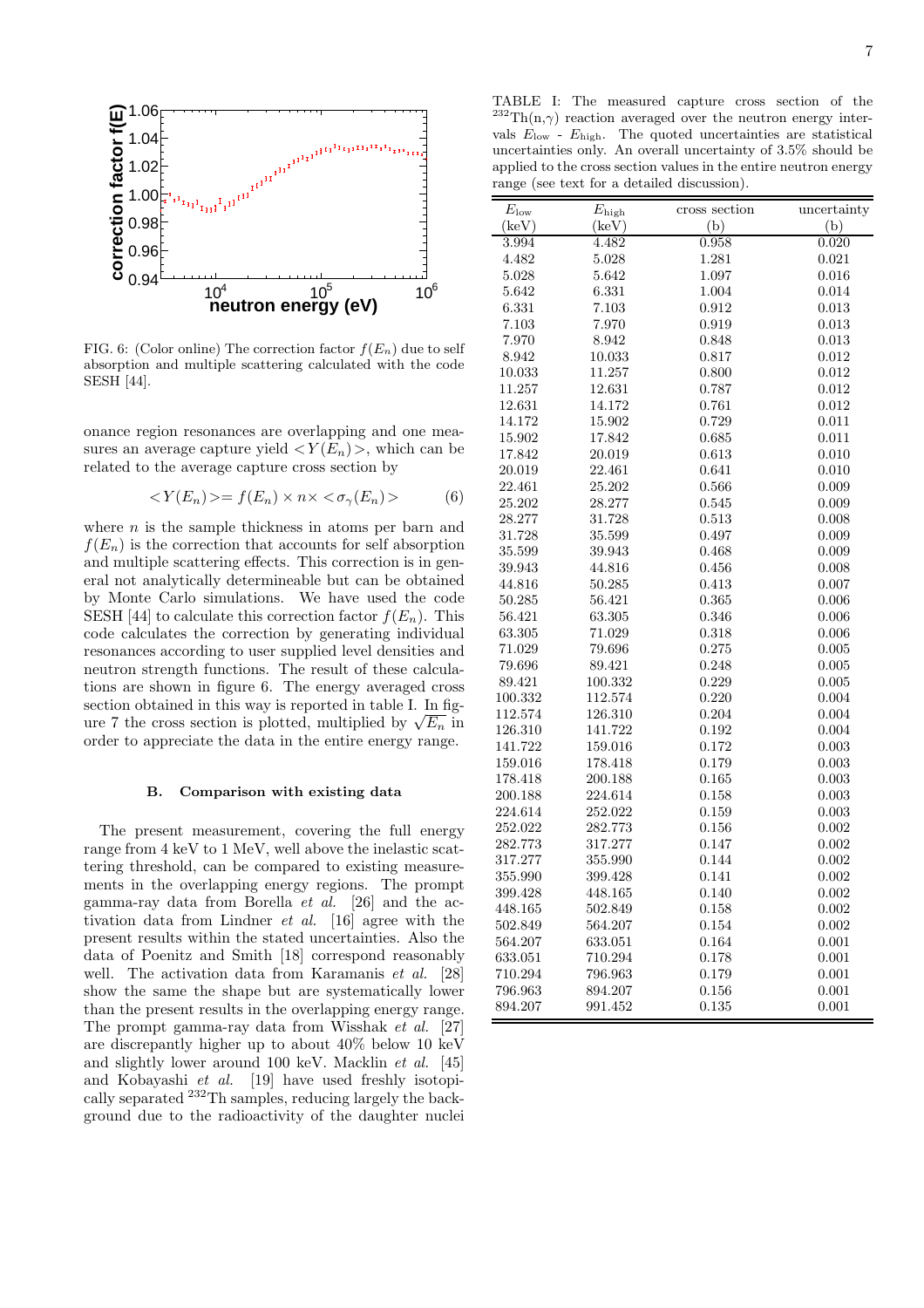

FIG. 6: (Color online) The correction factor  $f(E_n)$  due to self absorption and multiple scattering calculated with the code SESH [44].

onance region resonances are overlapping and one measures an average capture yield  $\langle Y(E_n) \rangle$ , which can be related to the average capture cross section by

$$
\langle Y(E_n)\rangle = f(E_n)\times n\times \langle \sigma_\gamma(E_n)\rangle \tag{6}
$$

where  $n$  is the sample thickness in atoms per barn and  $f(E_n)$  is the correction that accounts for self absorption and multiple scattering effects. This correction is in general not analytically determineable but can be obtained by Monte Carlo simulations. We have used the code SESH [44] to calculate this correction factor  $f(E_n)$ . This code calculates the correction by generating individual resonances according to user supplied level densities and neutron strength functions. The result of these calculations are shown in figure 6. The energy averaged cross section obtained in this way is reported in table I. In figure 7 the cross section is plotted, multiplied by  $\sqrt{E_n}$  in order to appreciate the data in the entire energy range.

#### B. Comparison with existing data

The present measurement, covering the full energy range from 4 keV to 1 MeV, well above the inelastic scattering threshold, can be compared to existing measurements in the overlapping energy regions. The prompt gamma-ray data from Borella et al. [26] and the activation data from Lindner et al. [16] agree with the present results within the stated uncertainties. Also the data of Poenitz and Smith [18] correspond reasonably well. The activation data from Karamanis *et al.* [28] show the same the shape but are systematically lower than the present results in the overlapping energy range. The prompt gamma-ray data from Wisshak et al. [27] are discrepantly higher up to about 40% below 10 keV and slightly lower around 100 keV. Macklin et al. [45] and Kobayashi et al. [19] have used freshly isotopically separated <sup>232</sup>Th samples, reducing largely the background due to the radioactivity of the daughter nuclei

TABLE I: The measured capture cross section of the  $^{232}\text{Th}(n,\gamma)$  reaction averaged over the neutron energy intervals  $E_{\text{low}}$  -  $E_{\text{high}}$ . The quoted uncertainties are statistical uncertainties only. An overall uncertainty of 3.5% should be applied to the cross section values in the entire neutron energy range (see text for a detailed discussion).

| $E_{\text{low}}$ | $E_{\rm high}$ | cross section | uncertainty |
|------------------|----------------|---------------|-------------|
| (keV)            | (keV)          | (b)           | (b)         |
| 3.994            | 4.482          | 0.958         | 0.020       |
| 4.482            | 5.028          | 1.281         | 0.021       |
| 5.028            | 5.642          | 1.097         | 0.016       |
| 5.642            | 6.331          | 1.004         | 0.014       |
| 6.331            | 7.103          | 0.912         | 0.013       |
| 7.103            | 7.970          | 0.919         | 0.013       |
| 7.970            | 8.942          | 0.848         | 0.013       |
| 8.942            | 10.033         | 0.817         | 0.012       |
| 10.033           | 11.257         | 0.800         | 0.012       |
| 11.257           | 12.631         | 0.787         | 0.012       |
| 12.631           | 14.172         | 0.761         | 0.012       |
| 14.172           | 15.902         | 0.729         | 0.011       |
| 15.902           | 17.842         | 0.685         | 0.011       |
| 17.842           | 20.019         | 0.613         | 0.010       |
| 20.019           | 22.461         | 0.641         | 0.010       |
| 22.461           | 25.202         | 0.566         | 0.009       |
| 25.202           | 28.277         | 0.545         | 0.009       |
| 28.277           | 31.728         | 0.513         | $0.008\,$   |
| 31.728           | 35.599         | 0.497         | 0.009       |
| 35.599           | 39.943         | 0.468         | 0.009       |
| 39.943           | 44.816         | 0.456         | 0.008       |
| 44.816           | 50.285         | 0.413         | 0.007       |
| 50.285           | 56.421         | 0.365         | 0.006       |
| 56.421           | 63.305         | 0.346         | 0.006       |
| 63.305           | 71.029         | 0.318         | 0.006       |
| 71.029           | 79.696         | 0.275         | 0.005       |
| 79.696           | 89.421         | 0.248         | 0.005       |
| 89.421           | 100.332        | 0.229         | 0.005       |
| 100.332          | 112.574        | 0.220         | 0.004       |
| 112.574          | 126.310        | 0.204         | 0.004       |
| 126.310          | 141.722        | 0.192         | 0.004       |
| 141.722          | 159.016        | 0.172         | 0.003       |
| 159.016          | 178.418        | 0.179         | 0.003       |
| 178.418          | 200.188        | 0.165         | 0.003       |
| 200.188          | 224.614        | 0.158         | 0.003       |
| 224.614          | 252.022        | 0.159         | 0.003       |
| 252.022          | 282.773        | 0.156         | 0.002       |
| 282.773          | 317.277        | 0.147         | 0.002       |
| 317.277          | 355.990        | 0.144         | 0.002       |
| 355.990          | 399.428        | 0.141         | 0.002       |
| 399.428          | 448.165        | 0.140         | 0.002       |
| 448.165          | 502.849        | 0.158         | 0.002       |
| 502.849          | 564.207        | 0.154         | 0.002       |
| 564.207          | 633.051        | 0.164         | 0.001       |
| 633.051          | 710.294        | 0.178         | 0.001       |
| 710.294          | 796.963        | 0.179         | 0.001       |
| 796.963          | 894.207        | 0.156         | 0.001       |
| 894.207          | 991.452        | 0.135         | 0.001       |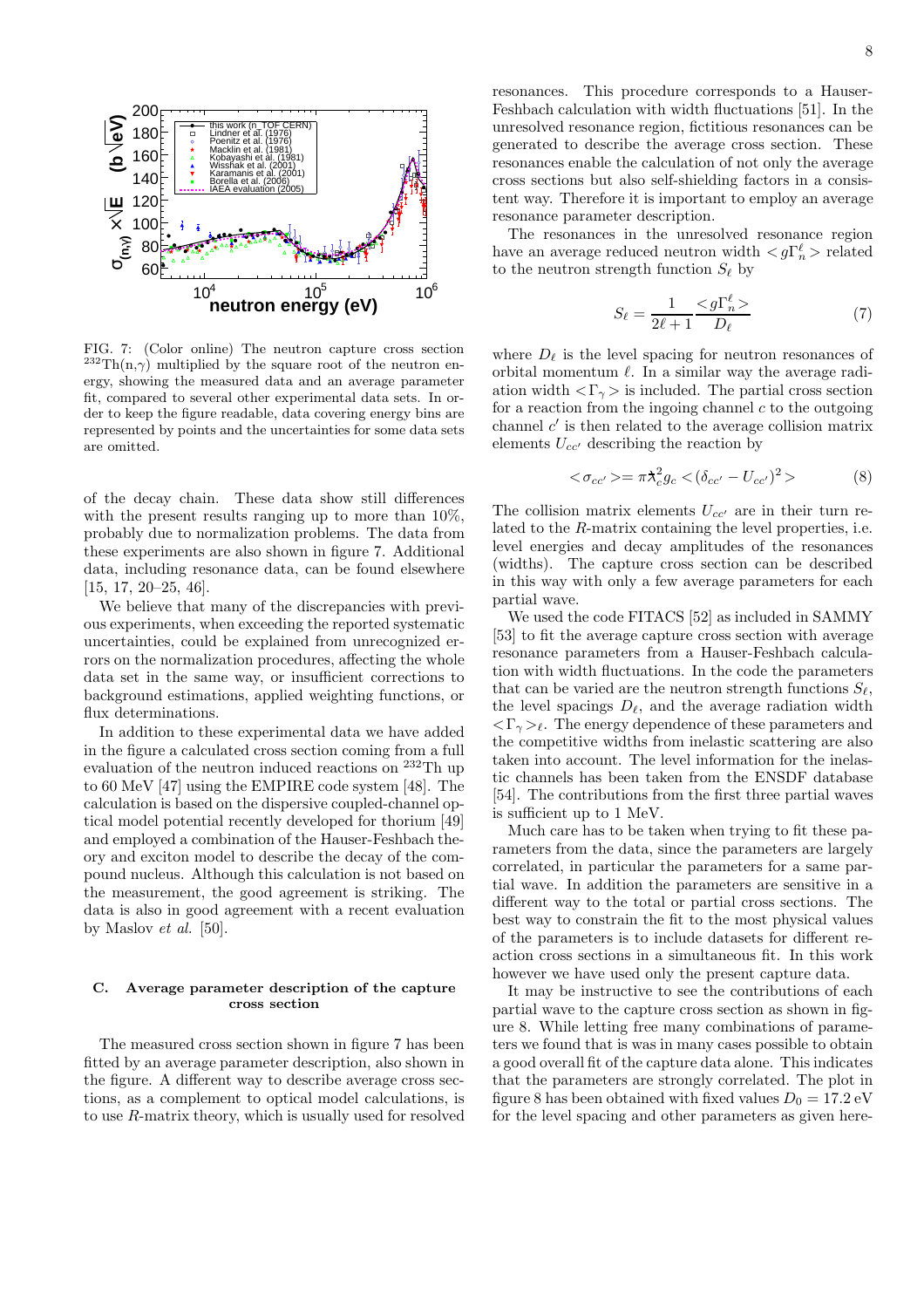

FIG. 7: (Color online) The neutron capture cross section  $^{232}Th(n,\gamma)$  multiplied by the square root of the neutron energy, showing the measured data and an average parameter fit, compared to several other experimental data sets. In order to keep the figure readable, data covering energy bins are represented by points and the uncertainties for some data sets are omitted.

of the decay chain. These data show still differences with the present results ranging up to more than 10%, probably due to normalization problems. The data from these experiments are also shown in figure 7. Additional data, including resonance data, can be found elsewhere [15, 17, 20–25, 46].

We believe that many of the discrepancies with previous experiments, when exceeding the reported systematic uncertainties, could be explained from unrecognized errors on the normalization procedures, affecting the whole data set in the same way, or insufficient corrections to background estimations, applied weighting functions, or flux determinations.

In addition to these experimental data we have added in the figure a calculated cross section coming from a full evaluation of the neutron induced reactions on <sup>232</sup>Th up to 60 MeV [47] using the EMPIRE code system [48]. The calculation is based on the dispersive coupled-channel optical model potential recently developed for thorium [49] and employed a combination of the Hauser-Feshbach theory and exciton model to describe the decay of the compound nucleus. Although this calculation is not based on the measurement, the good agreement is striking. The data is also in good agreement with a recent evaluation by Maslov et al. [50].

#### C. Average parameter description of the capture cross section

The measured cross section shown in figure 7 has been fitted by an average parameter description, also shown in the figure. A different way to describe average cross sections, as a complement to optical model calculations, is to use R-matrix theory, which is usually used for resolved resonances. This procedure corresponds to a Hauser-Feshbach calculation with width fluctuations [51]. In the unresolved resonance region, fictitious resonances can be generated to describe the average cross section. These resonances enable the calculation of not only the average cross sections but also self-shielding factors in a consistent way. Therefore it is important to employ an average resonance parameter description.

The resonances in the unresolved resonance region have an average reduced neutron width  $\langle g\Gamma_n^{\ell}\rangle$  related to the neutron strength function  $S_{\ell}$  by

$$
S_{\ell} = \frac{1}{2\ell + 1} \frac{< g\Gamma_n^{\ell} >}{D_{\ell}} \tag{7}
$$

where  $D_{\ell}$  is the level spacing for neutron resonances of orbital momentum  $\ell$ . In a similar way the average radiation width  $\langle \Gamma_{\gamma} \rangle$  is included. The partial cross section for a reaction from the ingoing channel  $c$  to the outgoing channel  $c'$  is then related to the average collision matrix elements  $U_{cc'}$  describing the reaction by

$$
\langle \sigma_{cc'} \rangle = \pi \lambda_c^2 g_c \langle (\delta_{cc'} - U_{cc'})^2 \rangle \tag{8}
$$

The collision matrix elements  $U_{cc'}$  are in their turn related to the R-matrix containing the level properties, i.e. level energies and decay amplitudes of the resonances (widths). The capture cross section can be described in this way with only a few average parameters for each partial wave.

We used the code FITACS [52] as included in SAMMY [53] to fit the average capture cross section with average resonance parameters from a Hauser-Feshbach calculation with width fluctuations. In the code the parameters that can be varied are the neutron strength functions  $S_{\ell}$ , the level spacings  $D_{\ell}$ , and the average radiation width  $\langle \Gamma_{\gamma} \rangle_{\ell}$ . The energy dependence of these parameters and the competitive widths from inelastic scattering are also taken into account. The level information for the inelastic channels has been taken from the ENSDF database [54]. The contributions from the first three partial waves is sufficient up to 1 MeV.

Much care has to be taken when trying to fit these parameters from the data, since the parameters are largely correlated, in particular the parameters for a same partial wave. In addition the parameters are sensitive in a different way to the total or partial cross sections. The best way to constrain the fit to the most physical values of the parameters is to include datasets for different reaction cross sections in a simultaneous fit. In this work however we have used only the present capture data.

It may be instructive to see the contributions of each partial wave to the capture cross section as shown in figure 8. While letting free many combinations of parameters we found that is was in many cases possible to obtain a good overall fit of the capture data alone. This indicates that the parameters are strongly correlated. The plot in figure 8 has been obtained with fixed values  $D_0 = 17.2 \text{ eV}$ for the level spacing and other parameters as given here-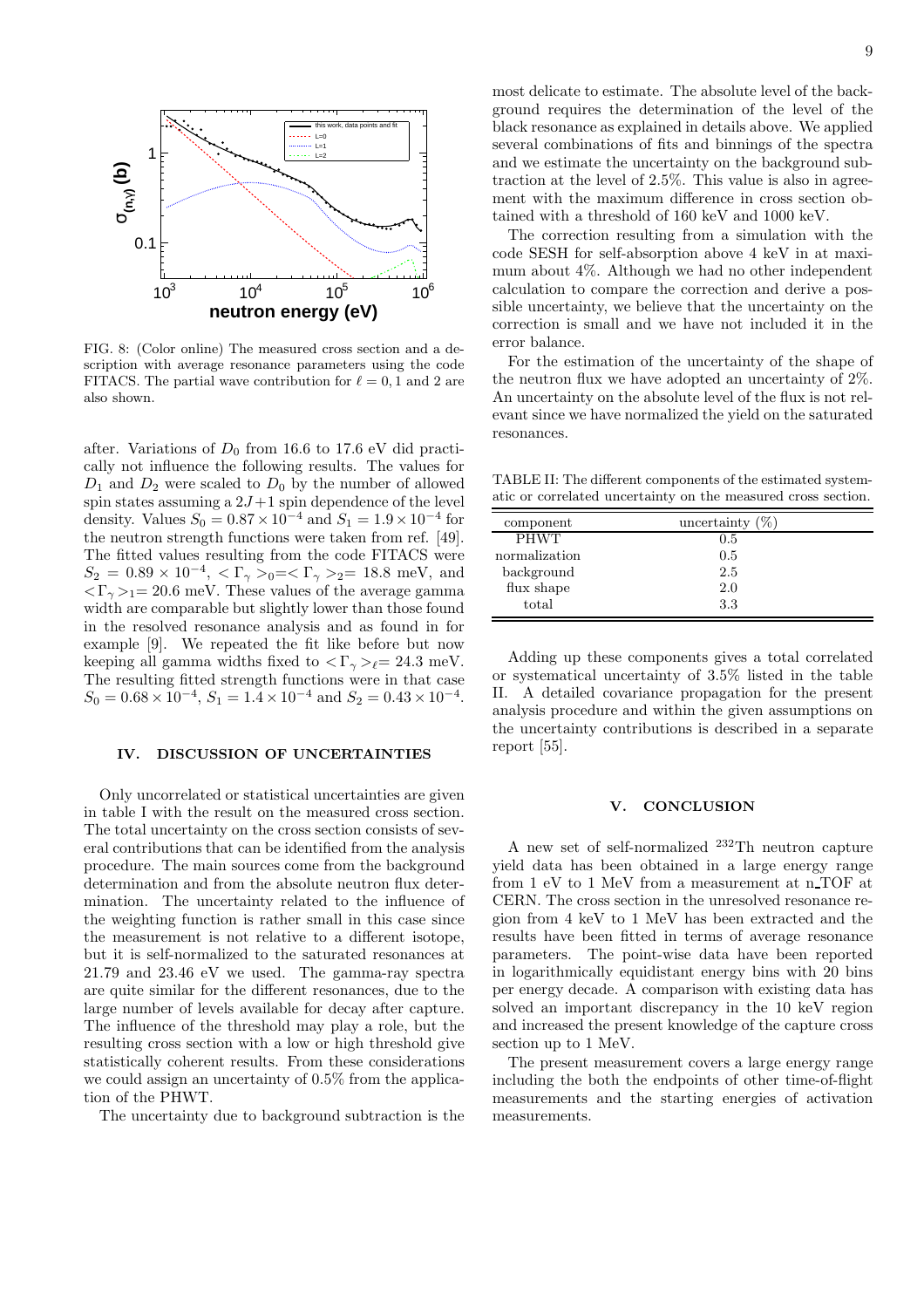

FIG. 8: (Color online) The measured cross section and a description with average resonance parameters using the code FITACS. The partial wave contribution for  $\ell = 0, 1$  and 2 are also shown.

after. Variations of  $D_0$  from 16.6 to 17.6 eV did practically not influence the following results. The values for  $D_1$  and  $D_2$  were scaled to  $D_0$  by the number of allowed spin states assuming a  $2J+1$  spin dependence of the level density. Values  $S_0 = 0.87 \times 10^{-4}$  and  $S_1 = 1.9 \times 10^{-4}$  for the neutron strength functions were taken from ref. [49]. The fitted values resulting from the code FITACS were  $S_2 = 0.89 \times 10^{-4}, \langle \Gamma_\gamma \rangle_0 = \langle \Gamma_\gamma \rangle_2 = 18.8 \text{ meV}, \text{ and}$  $\langle \Gamma_{\gamma} \rangle = 20.6$  meV. These values of the average gamma width are comparable but slightly lower than those found in the resolved resonance analysis and as found in for example [9]. We repeated the fit like before but now keeping all gamma widths fixed to  $\langle \Gamma_{\gamma} \rangle_{\ell} = 24.3$  meV. The resulting fitted strength functions were in that case  $S_0 = 0.68 \times 10^{-4}, S_1 = 1.4 \times 10^{-4}$  and  $S_2 = 0.43 \times 10^{-4}$ .

#### IV. DISCUSSION OF UNCERTAINTIES

Only uncorrelated or statistical uncertainties are given in table I with the result on the measured cross section. The total uncertainty on the cross section consists of several contributions that can be identified from the analysis procedure. The main sources come from the background determination and from the absolute neutron flux determination. The uncertainty related to the influence of the weighting function is rather small in this case since the measurement is not relative to a different isotope, but it is self-normalized to the saturated resonances at 21.79 and 23.46 eV we used. The gamma-ray spectra are quite similar for the different resonances, due to the large number of levels available for decay after capture. The influence of the threshold may play a role, but the resulting cross section with a low or high threshold give statistically coherent results. From these considerations we could assign an uncertainty of 0.5% from the application of the PHWT.

The uncertainty due to background subtraction is the

most delicate to estimate. The absolute level of the background requires the determination of the level of the black resonance as explained in details above. We applied several combinations of fits and binnings of the spectra and we estimate the uncertainty on the background subtraction at the level of 2.5%. This value is also in agreement with the maximum difference in cross section obtained with a threshold of 160 keV and 1000 keV.

The correction resulting from a simulation with the code SESH for self-absorption above 4 keV in at maximum about 4%. Although we had no other independent calculation to compare the correction and derive a possible uncertainty, we believe that the uncertainty on the correction is small and we have not included it in the error balance.

For the estimation of the uncertainty of the shape of the neutron flux we have adopted an uncertainty of 2%. An uncertainty on the absolute level of the flux is not relevant since we have normalized the yield on the saturated resonances.

TABLE II: The different components of the estimated systematic or correlated uncertainty on the measured cross section.

| component     | uncertainty $(\%)$ |  |
|---------------|--------------------|--|
| <b>PHWT</b>   | 0.5                |  |
| normalization | 0.5                |  |
| background    | 2.5                |  |
| flux shape    | 2.0                |  |
| total         | 3.3                |  |

Adding up these components gives a total correlated or systematical uncertainty of 3.5% listed in the table II. A detailed covariance propagation for the present analysis procedure and within the given assumptions on the uncertainty contributions is described in a separate report [55].

#### V. CONCLUSION

A new set of self-normalized <sup>232</sup>Th neutron capture yield data has been obtained in a large energy range from 1 eV to 1 MeV from a measurement at n TOF at CERN. The cross section in the unresolved resonance region from 4 keV to 1 MeV has been extracted and the results have been fitted in terms of average resonance parameters. The point-wise data have been reported in logarithmically equidistant energy bins with 20 bins per energy decade. A comparison with existing data has solved an important discrepancy in the 10 keV region and increased the present knowledge of the capture cross section up to 1 MeV.

The present measurement covers a large energy range including the both the endpoints of other time-of-flight measurements and the starting energies of activation measurements.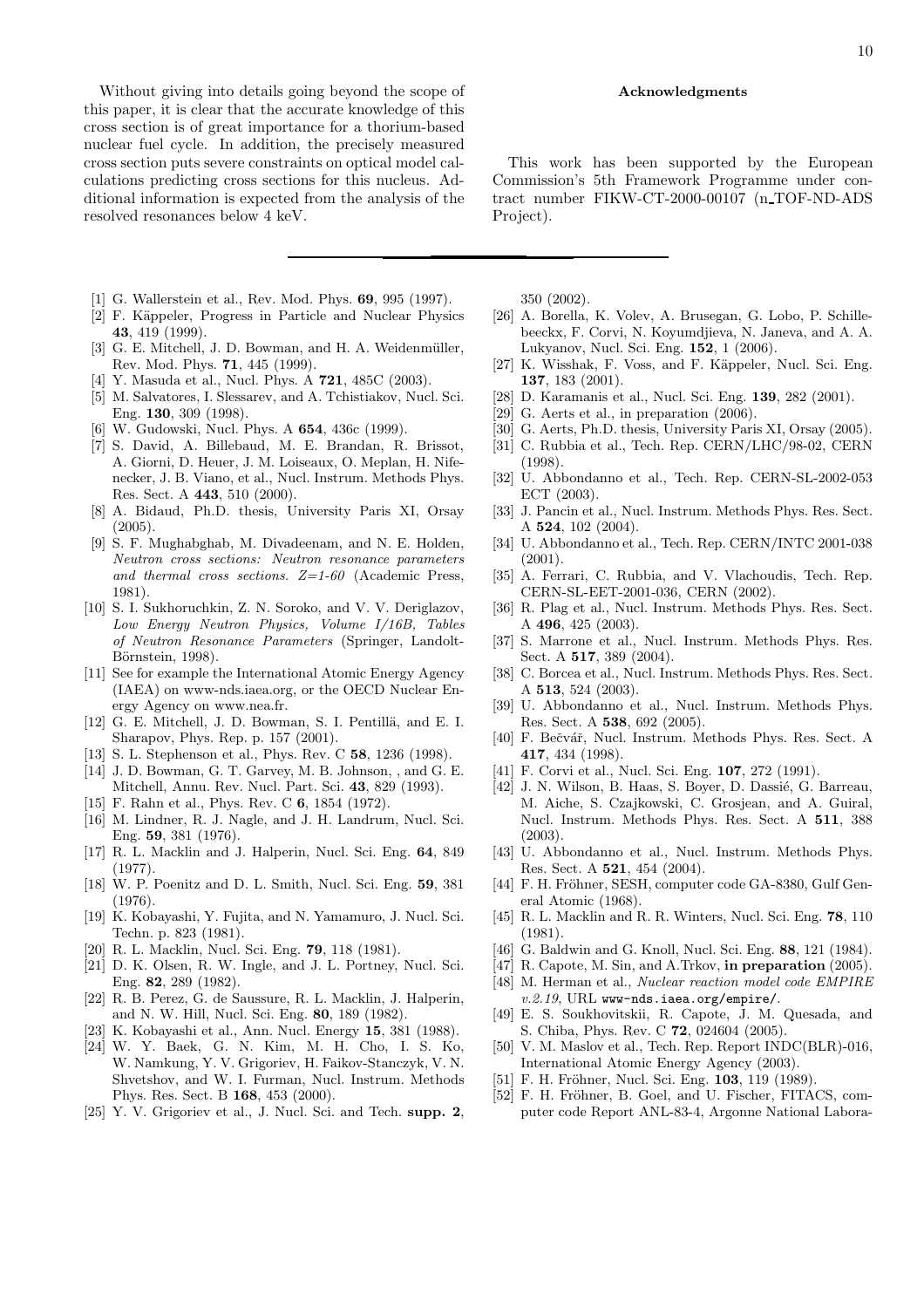Without giving into details going beyond the scope of this paper, it is clear that the accurate knowledge of this cross section is of great importance for a thorium-based nuclear fuel cycle. In addition, the precisely measured cross section puts severe constraints on optical model calculations predicting cross sections for this nucleus. Additional information is expected from the analysis of the resolved resonances below 4 keV.

- [1] G. Wallerstein et al., Rev. Mod. Phys. 69, 995 (1997).
- [2] F. Käppeler, Progress in Particle and Nuclear Physics 43, 419 (1999).
- [3] G. E. Mitchell, J. D. Bowman, and H. A. Weidenmüller, Rev. Mod. Phys. 71, 445 (1999).
- [4] Y. Masuda et al., Nucl. Phys. A **721**, 485C (2003).
- [5] M. Salvatores, I. Slessarev, and A. Tchistiakov, Nucl. Sci. Eng. 130, 309 (1998).
- [6] W. Gudowski, Nucl. Phys. A 654, 436c (1999).
- [7] S. David, A. Billebaud, M. E. Brandan, R. Brissot, A. Giorni, D. Heuer, J. M. Loiseaux, O. Meplan, H. Nifenecker, J. B. Viano, et al., Nucl. Instrum. Methods Phys. Res. Sect. A 443, 510 (2000).
- [8] A. Bidaud, Ph.D. thesis, University Paris XI, Orsay  $(2005)$ .
- [9] S. F. Mughabghab, M. Divadeenam, and N. E. Holden, Neutron cross sections: Neutron resonance parameters and thermal cross sections.  $Z=1-60$  (Academic Press, 1981).
- [10] S. I. Sukhoruchkin, Z. N. Soroko, and V. V. Deriglazov, Low Energy Neutron Physics, Volume I/16B, Tables of Neutron Resonance Parameters (Springer, Landolt-Börnstein, 1998).
- [11] See for example the International Atomic Energy Agency (IAEA) on www-nds.iaea.org, or the OECD Nuclear Energy Agency on www.nea.fr.
- [12] G. E. Mitchell, J. D. Bowman, S. I. Pentillä, and E. I. Sharapov, Phys. Rep. p. 157 (2001).
- [13] S. L. Stephenson et al., Phys. Rev. C 58, 1236 (1998).
- [14] J. D. Bowman, G. T. Garvey, M. B. Johnson, , and G. E. Mitchell, Annu. Rev. Nucl. Part. Sci. 43, 829 (1993).
- [15] F. Rahn et al., Phys. Rev. C 6, 1854 (1972).
- [16] M. Lindner, R. J. Nagle, and J. H. Landrum, Nucl. Sci. Eng. 59, 381 (1976).
- [17] R. L. Macklin and J. Halperin, Nucl. Sci. Eng. 64, 849 (1977).
- [18] W. P. Poenitz and D. L. Smith, Nucl. Sci. Eng. 59, 381 (1976).
- [19] K. Kobayashi, Y. Fujita, and N. Yamamuro, J. Nucl. Sci. Techn. p. 823 (1981).
- [20] R. L. Macklin, Nucl. Sci. Eng. 79, 118 (1981).
- [21] D. K. Olsen, R. W. Ingle, and J. L. Portney, Nucl. Sci. Eng. 82, 289 (1982).
- [22] R. B. Perez, G. de Saussure, R. L. Macklin, J. Halperin, and N. W. Hill, Nucl. Sci. Eng. 80, 189 (1982).
- [23] K. Kobayashi et al., Ann. Nucl. Energy 15, 381 (1988).
- [24] W. Y. Baek, G. N. Kim, M. H. Cho, I. S. Ko, W. Namkung, Y. V. Grigoriev, H. Faikov-Stanczyk, V. N. Shvetshov, and W. I. Furman, Nucl. Instrum. Methods Phys. Res. Sect. B 168, 453 (2000).
- [25] Y. V. Grigoriev et al., J. Nucl. Sci. and Tech. supp. 2,

#### Acknowledgments

This work has been supported by the European Commission's 5th Framework Programme under contract number FIKW-CT-2000-00107 (n TOF-ND-ADS Project).

350 (2002).

- [26] A. Borella, K. Volev, A. Brusegan, G. Lobo, P. Schillebeeckx, F. Corvi, N. Koyumdjieva, N. Janeva, and A. A. Lukyanov, Nucl. Sci. Eng. 152, 1 (2006).
- [27] K. Wisshak, F. Voss, and F. Käppeler, Nucl. Sci. Eng. 137, 183 (2001).
- [28] D. Karamanis et al., Nucl. Sci. Eng. 139, 282 (2001).
- [29] G. Aerts et al., in preparation (2006).
- [30] G. Aerts, Ph.D. thesis, University Paris XI, Orsay (2005).
- [31] C. Rubbia et al., Tech. Rep. CERN/LHC/98-02, CERN (1998).
- [32] U. Abbondanno et al., Tech. Rep. CERN-SL-2002-053 ECT (2003).
- [33] J. Pancin et al., Nucl. Instrum. Methods Phys. Res. Sect. A 524, 102 (2004).
- [34] U. Abbondanno et al., Tech. Rep. CERN/INTC 2001-038 (2001).
- [35] A. Ferrari, C. Rubbia, and V. Vlachoudis, Tech. Rep. CERN-SL-EET-2001-036, CERN (2002).
- [36] R. Plag et al., Nucl. Instrum. Methods Phys. Res. Sect. A 496, 425 (2003).
- [37] S. Marrone et al., Nucl. Instrum. Methods Phys. Res. Sect. A 517, 389 (2004).
- [38] C. Borcea et al., Nucl. Instrum. Methods Phys. Res. Sect. A 513, 524 (2003).
- [39] U. Abbondanno et al., Nucl. Instrum. Methods Phys. Res. Sect. A 538, 692 (2005).
- [40] F. Bečvář, Nucl. Instrum. Methods Phys. Res. Sect. A 417, 434 (1998).
- [41] F. Corvi et al., Nucl. Sci. Eng. **107**, 272 (1991).
- [42] J. N. Wilson, B. Haas, S. Boyer, D. Dassié, G. Barreau, M. Aiche, S. Czajkowski, C. Grosjean, and A. Guiral, Nucl. Instrum. Methods Phys. Res. Sect. A 511, 388 (2003).
- [43] U. Abbondanno et al., Nucl. Instrum. Methods Phys. Res. Sect. A 521, 454 (2004).
- [44] F. H. Fröhner, SESH, computer code GA-8380, Gulf General Atomic (1968).
- [45] R. L. Macklin and R. R. Winters, Nucl. Sci. Eng. 78, 110 (1981).
- [46] G. Baldwin and G. Knoll, Nucl. Sci. Eng. 88, 121 (1984).
- [47] R. Capote, M. Sin, and A. Trkov, in preparation (2005).
- [48] M. Herman et al., Nuclear reaction model code EMPIRE v.2.19, URL www-nds.iaea.org/empire/.
- [49] E. S. Soukhovitskii, R. Capote, J. M. Quesada, and S. Chiba, Phys. Rev. C 72, 024604 (2005).
- [50] V. M. Maslov et al., Tech. Rep. Report INDC(BLR)-016, International Atomic Energy Agency (2003).
- [51] F. H. Fröhner, Nucl. Sci. Eng. 103, 119 (1989).
- [52] F. H. Fröhner, B. Goel, and U. Fischer, FITACS, computer code Report ANL-83-4, Argonne National Labora-